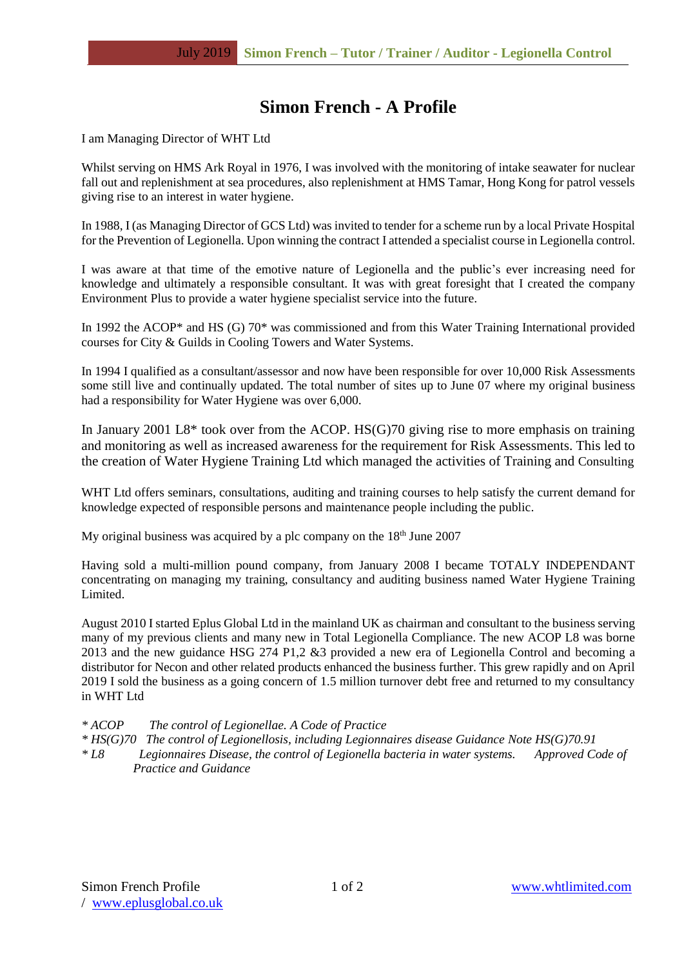# **Simon French - A Profile**

I am Managing Director of WHT Ltd

Whilst serving on HMS Ark Royal in 1976, I was involved with the monitoring of intake seawater for nuclear fall out and replenishment at sea procedures, also replenishment at HMS Tamar, Hong Kong for patrol vessels giving rise to an interest in water hygiene.

In 1988, I (as Managing Director of GCS Ltd) was invited to tender for a scheme run by a local Private Hospital for the Prevention of Legionella. Upon winning the contract I attended a specialist course in Legionella control.

I was aware at that time of the emotive nature of Legionella and the public's ever increasing need for knowledge and ultimately a responsible consultant. It was with great foresight that I created the company Environment Plus to provide a water hygiene specialist service into the future.

In 1992 the ACOP<sup>\*</sup> and HS (G) 70<sup>\*</sup> was commissioned and from this Water Training International provided courses for City & Guilds in Cooling Towers and Water Systems.

In 1994 I qualified as a consultant/assessor and now have been responsible for over 10,000 Risk Assessments some still live and continually updated. The total number of sites up to June 07 where my original business had a responsibility for Water Hygiene was over 6,000.

In January 2001 L8\* took over from the ACOP. HS(G)70 giving rise to more emphasis on training and monitoring as well as increased awareness for the requirement for Risk Assessments. This led to the creation of Water Hygiene Training Ltd which managed the activities of Training and Consulting

WHT Ltd offers seminars, consultations, auditing and training courses to help satisfy the current demand for knowledge expected of responsible persons and maintenance people including the public.

My original business was acquired by a plc company on the  $18<sup>th</sup>$  June 2007

Having sold a multi-million pound company, from January 2008 I became TOTALY INDEPENDANT concentrating on managing my training, consultancy and auditing business named Water Hygiene Training Limited.

August 2010 I started Eplus Global Ltd in the mainland UK as chairman and consultant to the business serving many of my previous clients and many new in Total Legionella Compliance. The new ACOP L8 was borne 2013 and the new guidance HSG 274 P1,2 &3 provided a new era of Legionella Control and becoming a distributor for Necon and other related products enhanced the business further. This grew rapidly and on April 2019 I sold the business as a going concern of 1.5 million turnover debt free and returned to my consultancy in WHT Ltd

*\* ACOP The control of Legionellae. A Code of Practice*

*\* HS(G)70 The control of Legionellosis, including Legionnaires disease Guidance Note HS(G)70.91*

*\* L8 Legionnaires Disease, the control of Legionella bacteria in water systems. Approved Code of Practice and Guidance*